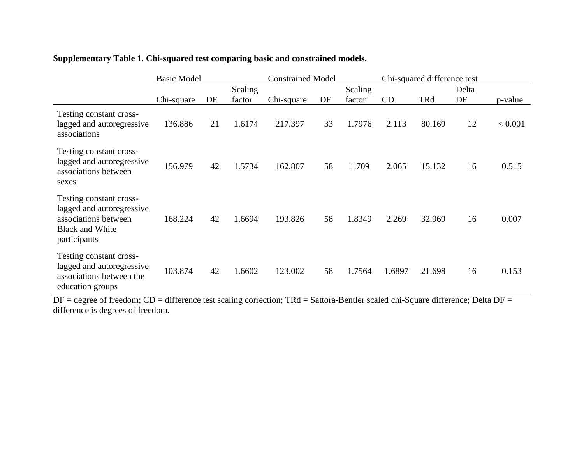|                                                                                                                        | <b>Basic Model</b> |    |         |            | <b>Constrained Model</b> |        |        | Chi-squared difference test |    |         |  |
|------------------------------------------------------------------------------------------------------------------------|--------------------|----|---------|------------|--------------------------|--------|--------|-----------------------------|----|---------|--|
|                                                                                                                        |                    |    | Scaling |            | Scaling                  |        | Delta  |                             |    |         |  |
|                                                                                                                        | Chi-square         | DF | factor  | Chi-square | DF                       | factor | CD     | TRd                         | DF | p-value |  |
| Testing constant cross-<br>lagged and autoregressive<br>associations                                                   | 136.886            | 21 | 1.6174  | 217.397    | 33                       | 1.7976 | 2.113  | 80.169                      | 12 | < 0.001 |  |
| Testing constant cross-<br>lagged and autoregressive<br>associations between<br>sexes                                  | 156.979            | 42 | 1.5734  | 162.807    | 58                       | 1.709  | 2.065  | 15.132                      | 16 | 0.515   |  |
| Testing constant cross-<br>lagged and autoregressive<br>associations between<br><b>Black and White</b><br>participants | 168.224            | 42 | 1.6694  | 193.826    | 58                       | 1.8349 | 2.269  | 32.969                      | 16 | 0.007   |  |
| Testing constant cross-<br>lagged and autoregressive<br>associations between the<br>education groups                   | 103.874            | 42 | 1.6602  | 123.002    | 58                       | 1.7564 | 1.6897 | 21.698                      | 16 | 0.153   |  |

## **Supplementary Table 1. Chi-squared test comparing basic and constrained models.**

DF = degree of freedom; CD = difference test scaling correction; TRd = Sattora-Bentler scaled chi-Square difference; Delta DF = difference is degrees of freedom.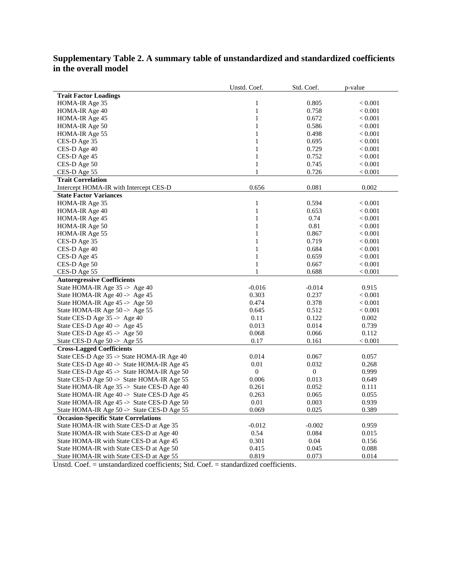## **Supplementary Table 2. A summary table of unstandardized and standardized coefficients in the overall model**

|                                             | Unstd. Coef.     | Std. Coef.       | p-value |
|---------------------------------------------|------------------|------------------|---------|
| <b>Trait Factor Loadings</b>                |                  |                  |         |
| HOMA-IR Age 35                              | $\mathbf{1}$     | 0.805            | < 0.001 |
| HOMA-IR Age 40                              | $\mathbf{1}$     | 0.758            | < 0.001 |
| HOMA-IR Age 45                              | $\mathbf{1}$     | 0.672            | < 0.001 |
| HOMA-IR Age 50                              | $\mathbf{1}$     | 0.586            | < 0.001 |
| HOMA-IR Age 55                              | $\mathbf{1}$     | 0.498            | < 0.001 |
| CES-D Age 35                                | $\mathbf{1}$     | 0.695            | < 0.001 |
| CES-D Age 40                                | $\mathbf{1}$     | 0.729            | < 0.001 |
| CES-D Age 45                                | $\mathbf{1}$     | 0.752            | < 0.001 |
| CES-D Age 50                                | $\mathbf{1}$     | 0.745            | < 0.001 |
| CES-D Age 55                                | 1                | 0.726            | < 0.001 |
| <b>Trait Correlation</b>                    |                  |                  |         |
| Intercept HOMA-IR with Intercept CES-D      | 0.656            | 0.081            | 0.002   |
| <b>State Factor Variances</b>               |                  |                  |         |
| HOMA-IR Age 35                              | $\mathbf{1}$     | 0.594            | < 0.001 |
| HOMA-IR Age 40                              | $\mathbf{1}$     | 0.653            | < 0.001 |
| HOMA-IR Age 45                              | $\mathbf{1}$     | 0.74             | < 0.001 |
| HOMA-IR Age 50                              | $\mathbf{1}$     | 0.81             | < 0.001 |
| HOMA-IR Age 55                              | $\mathbf{1}$     | 0.867            | < 0.001 |
| CES-D Age 35                                | $\mathbf{1}$     | 0.719            | < 0.001 |
| CES-D Age 40                                | $\mathbf{1}$     | 0.684            | < 0.001 |
| CES-D Age 45                                | $\mathbf{1}$     | 0.659            | < 0.001 |
| CES-D Age 50                                | $\mathbf{1}$     | 0.667            | < 0.001 |
| CES-D Age 55                                | $\mathbf{1}$     | 0.688            | < 0.001 |
| <b>Autoregressive Coefficients</b>          |                  |                  |         |
| State HOMA-IR Age 35 -> Age 40              | $-0.016$         | $-0.014$         | 0.915   |
| State HOMA-IR Age 40 -> Age 45              | 0.303            | 0.237            | < 0.001 |
| State HOMA-IR Age $45 \rightarrow$ Age $50$ | 0.474            | 0.378            | < 0.001 |
| State HOMA-IR Age $50 \rightarrow$ Age $55$ | 0.645            | 0.512            | < 0.001 |
| State CES-D Age 35 -> Age 40                | 0.11             | 0.122            | 0.002   |
| State CES-D Age $40 \rightarrow$ Age $45$   | 0.013            | 0.014            | 0.739   |
| State CES-D Age 45 -> Age 50                | 0.068            | 0.066            | 0.112   |
| State CES-D Age 50 -> Age 55                | 0.17             | 0.161            | < 0.001 |
| <b>Cross-Lagged Coefficients</b>            |                  |                  |         |
| State CES-D Age 35 -> State HOMA-IR Age 40  | 0.014            | 0.067            | 0.057   |
| State CES-D Age 40 -> State HOMA-IR Age 45  | 0.01             | 0.032            | 0.268   |
| State CES-D Age 45 -> State HOMA-IR Age 50  | $\boldsymbol{0}$ | $\boldsymbol{0}$ | 0.999   |
| State CES-D Age 50 -> State HOMA-IR Age 55  | 0.006            | 0.013            | 0.649   |
| State HOMA-IR Age 35 -> State CES-D Age 40  | 0.261            | 0.052            | 0.111   |
| State HOMA-IR Age 40 -> State CES-D Age 45  | 0.263            | 0.065            | 0.055   |
| State HOMA-IR Age 45 -> State CES-D Age 50  | 0.01             | 0.003            | 0.939   |
| State HOMA-IR Age 50 -> State CES-D Age 55  | 0.069            | 0.025            | 0.389   |
| <b>Occasion-Specific State Correlations</b> |                  |                  |         |
| State HOMA-IR with State CES-D at Age 35    | $-0.012$         | $-0.002$         | 0.959   |
| State HOMA-IR with State CES-D at Age 40    | 0.54             | 0.084            | 0.015   |
| State HOMA-IR with State CES-D at Age 45    | 0.301            | 0.04             | 0.156   |
| State HOMA-IR with State CES-D at Age 50    | 0.415            | 0.045            | 0.088   |
| State HOMA-IR with State CES-D at Age 55    | 0.819            | 0.073            | 0.014   |

Unstd. Coef. = unstandardized coefficients; Std. Coef. = standardized coefficients.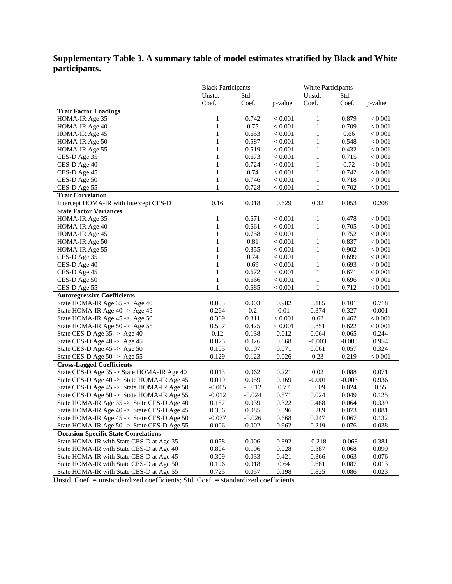## **Supplementary Table 3. A summary table of model estimates stratified by Black and White participants.**

|                                             | <b>Black Participants</b> |          |           | <b>White Participants</b> |          |             |
|---------------------------------------------|---------------------------|----------|-----------|---------------------------|----------|-------------|
|                                             | Unstd.                    | Std.     |           | Unstd.                    | Std.     |             |
|                                             | Coef.                     | Coef.    | p-value   | Coef.                     | Coef.    | p-value     |
| <b>Trait Factor Loadings</b>                |                           |          |           |                           |          |             |
| HOMA-IR Age 35                              | 1                         | 0.742    | < 0.001   | 1                         | 0.879    | < 0.001     |
| HOMA-IR Age 40                              | $\mathbf{1}$              | 0.75     | < 0.001   | $\mathbf{1}$              | 0.709    | < 0.001     |
| HOMA-IR Age 45                              | $\mathbf{1}$              | 0.653    | < 0.001   | $\mathbf{1}$              | 0.66     | < 0.001     |
| HOMA-IR Age 50                              | $\mathbf{1}$              | 0.587    | < 0.001   | $\mathbf{1}$              | 0.548    | < 0.001     |
| HOMA-IR Age 55                              | $\mathbf{1}$              | 0.519    | < 0.001   | $\mathbf{1}$              | 0.432    | < 0.001     |
| CES-D Age 35                                | $\mathbf{1}$              | 0.673    | < 0.001   | $\mathbf{1}$              | 0.715    | < 0.001     |
| CES-D Age 40                                | $\mathbf{1}$              | 0.724    | < 0.001   | $\mathbf{1}$              | 0.72     | < 0.001     |
| CES-D Age 45                                | 1                         | 0.74     | < 0.001   | $\mathbf{1}$              | 0.742    | < 0.001     |
| CES-D Age 50                                | $\mathbf{1}$              | 0.746    | < 0.001   | $\mathbf{1}$              | 0.718    | < 0.001     |
| CES-D Age 55                                | 1                         | 0.728    | < 0.001   | $\mathbf{1}$              | 0.702    | < 0.001     |
| <b>Trait Correlation</b>                    |                           |          |           |                           |          |             |
| Intercept HOMA-IR with Intercept CES-D      | 0.16                      | 0.018    | 0.629     | 0.32                      | 0.053    | 0.208       |
| <b>State Factor Variances</b>               |                           |          |           |                           |          |             |
| HOMA-IR Age 35                              | $\mathbf{1}$              | 0.671    | < 0.001   | $\mathbf{1}$              | 0.478    | $< 0.001\,$ |
| HOMA-IR Age 40                              | $\mathbf{1}$              | 0.661    | < 0.001   | $\mathbf{1}$              | 0.705    | < 0.001     |
| HOMA-IR Age 45                              | 1                         | 0.758    | < 0.001   | $\mathbf{1}$              | 0.752    | < 0.001     |
| HOMA-IR Age 50                              | $\mathbf{1}$              | 0.81     | < 0.001   | $\mathbf{1}$              | 0.837    | < 0.001     |
| HOMA-IR Age 55                              | $\mathbf{1}$              | 0.855    | $< 0.001$ | $\mathbf{1}$              | 0.902    | < 0.001     |
| CES-D Age 35                                | $\mathbf{1}$              | 0.74     | < 0.001   | $\mathbf{1}$              | 0.699    | < 0.001     |
| CES-D Age 40                                | $\mathbf{1}$              | 0.69     | < 0.001   | $\mathbf{1}$              | 0.693    | < 0.001     |
| CES-D Age 45                                | $\mathbf{1}$              | 0.672    | < 0.001   | $\mathbf{1}$              | 0.671    | < 0.001     |
| CES-D Age 50                                | $\mathbf{1}$              | 0.666    | $< 0.001$ | $\mathbf{1}$              | 0.696    | < 0.001     |
| CES-D Age 55                                | 1                         | 0.685    | < 0.001   | 1                         | 0.712    | < 0.001     |
| <b>Autoregressive Coefficients</b>          |                           |          |           |                           |          |             |
| State HOMA-IR Age 35 -> Age 40              | 0.003                     | 0.003    | 0.982     | 0.185                     | 0.101    | 0.718       |
| State HOMA-IR Age 40 -> Age 45              | 0.264                     | 0.2      | 0.01      | 0.374                     | 0.327    | 0.001       |
| State HOMA-IR Age 45 -> Age 50              | 0.369                     | 0.311    | < 0.001   | 0.62                      | 0.462    | < 0.001     |
| State HOMA-IR Age 50 -> Age 55              | 0.507                     | 0.425    | < 0.001   | 0.851                     | 0.622    | < 0.001     |
| State CES-D Age 35 -> Age 40                | 0.12                      | 0.138    | 0.012     | 0.064                     | 0.065    | 0.244       |
| State CES-D Age 40 -> Age 45                | 0.025                     | 0.026    | 0.668     | $-0.003$                  | $-0.003$ | 0.954       |
| State CES-D Age 45 -> Age 50                | 0.105                     | 0.107    | 0.071     | 0.061                     | 0.057    | 0.324       |
| State CES-D Age 50 -> Age 55                | 0.129                     | 0.123    | 0.026     | 0.23                      | 0.219    | < 0.001     |
| <b>Cross-Lagged Coefficients</b>            |                           |          |           |                           |          |             |
| State CES-D Age 35 -> State HOMA-IR Age 40  | 0.013                     | 0.062    | 0.221     | 0.02                      | 0.088    | 0.071       |
| State CES-D Age 40 -> State HOMA-IR Age 45  | 0.019                     | 0.059    | 0.169     | $-0.001$                  | $-0.003$ | 0.936       |
| State CES-D Age 45 -> State HOMA-IR Age 50  | $-0.005$                  | $-0.012$ | 0.77      | 0.009                     | 0.024    | 0.55        |
| State CES-D Age 50 -> State HOMA-IR Age 55  | $-0.012$                  | $-0.024$ | 0.571     | 0.024                     | 0.049    | 0.125       |
| State HOMA-IR Age 35 -> State CES-D Age 40  | 0.157                     | 0.039    | 0.322     | 0.488                     | 0.064    | 0.339       |
| State HOMA-IR Age 40 -> State CES-D Age 45  | 0.336                     | 0.085    | 0.096     | 0.289                     | 0.073    | 0.081       |
| State HOMA-IR Age 45 -> State CES-D Age 50  | $-0.077$                  | $-0.026$ | 0.668     | 0.247                     | 0.067    | 0.132       |
| State HOMA-IR Age 50 -> State CES-D Age 55  | 0.006                     | 0.002    | 0.962     | 0.219                     | 0.076    | 0.038       |
| <b>Occasion-Specific State Correlations</b> |                           |          |           |                           |          |             |
| State HOMA-IR with State CES-D at Age 35    | 0.058                     | 0.006    | 0.892     | $-0.218$                  | $-0.068$ | 0.381       |
| State HOMA-IR with State CES-D at Age 40    | 0.804                     | 0.106    | 0.028     | 0.387                     | 0.068    | 0.099       |
| State HOMA-IR with State CES-D at Age 45    | 0.309                     | 0.033    | 0.421     | 0.366                     | 0.063    | 0.076       |
| State HOMA-IR with State CES-D at Age 50    | 0.196                     | 0.018    | 0.64      | 0.681                     | 0.087    | 0.013       |
| State HOMA-IR with State CES-D at Age 55    | 0.725                     | 0.057    | 0.198     | 0.825                     | 0.086    | 0.023       |

Unstd. Coef. = unstandardized coefficients; Std. Coef. = standardized coefficients